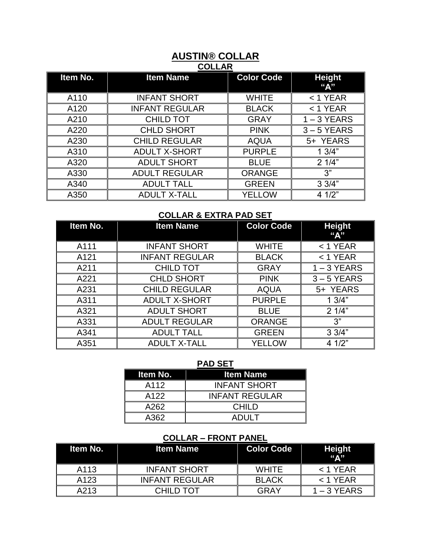## **AUSTIN® COLLAR COLLAR**

| Item No. | <b>Item Name</b>      | <b>Color Code</b> | <b>Height</b><br>"A" |
|----------|-----------------------|-------------------|----------------------|
| A110     | <b>INFANT SHORT</b>   | <b>WHITE</b>      | $<$ 1 YEAR           |
| A120     | <b>INFANT REGULAR</b> | <b>BLACK</b>      | $<$ 1 YEAR           |
| A210     | <b>CHILD TOT</b>      | <b>GRAY</b>       | $1 - 3$ YEARS        |
| A220     | <b>CHLD SHORT</b>     | <b>PINK</b>       | $3 - 5$ YEARS        |
| A230     | <b>CHILD REGULAR</b>  | <b>AQUA</b>       | 5+ YEARS             |
| A310     | <b>ADULT X-SHORT</b>  | <b>PURPLE</b>     | 13/4"                |
| A320     | <b>ADULT SHORT</b>    | <b>BLUE</b>       | 21/4"                |
| A330     | <b>ADULT REGULAR</b>  | <b>ORANGE</b>     | 3"                   |
| A340     | <b>ADULT TALL</b>     | <b>GREEN</b>      | 33/4"                |
| A350     | <b>ADULT X-TALL</b>   | <b>YELLOW</b>     | 4 1/2"               |

# **COLLAR & EXTRA PAD SET**

| Item No.         | <b>Item Name</b>      | <b>Color Code</b> | <b>Height</b><br>"A" |
|------------------|-----------------------|-------------------|----------------------|
| A111             | <b>INFANT SHORT</b>   | <b>WHITE</b>      | $<$ 1 YEAR           |
| A <sub>121</sub> | <b>INFANT REGULAR</b> | <b>BLACK</b>      | $<$ 1 YEAR           |
| A211             | <b>CHILD TOT</b>      | <b>GRAY</b>       | $1 - 3$ YEARS        |
| A221             | <b>CHLD SHORT</b>     | <b>PINK</b>       | $3 - 5$ YEARS        |
| A231             | <b>CHILD REGULAR</b>  | <b>AQUA</b>       | 5+ YEARS             |
| A311             | <b>ADULT X-SHORT</b>  | <b>PURPLE</b>     | 13/4"                |
| A321             | <b>ADULT SHORT</b>    | <b>BLUE</b>       | 21/4"                |
| A331             | <b>ADULT REGULAR</b>  | <b>ORANGE</b>     | 3"                   |
| A341             | <b>ADULT TALL</b>     | <b>GREEN</b>      | 33/4"                |
| A351             | <b>ADULT X-TALL</b>   | <b>YELLOW</b>     | 4 1/2"               |

#### **PAD SET**

| Item No. | <b>Item Name</b>      |
|----------|-----------------------|
| A112     | <b>INFANT SHORT</b>   |
| A122     | <b>INFANT REGULAR</b> |
| A262     | <b>CHILD</b>          |
| A362     | ANI II T              |

### **COLLAR – FRONT PANEL**

| ltem No.         | ltem Name ˈ           | <b>Color Code</b> | <b>Height</b><br>"А" |
|------------------|-----------------------|-------------------|----------------------|
| A113             | <b>INFANT SHORT</b>   | <b>WHITE</b>      | $<$ 1 YFAR           |
| A <sub>123</sub> | <b>INFANT REGULAR</b> | <b>BLACK</b>      | $<$ 1 YEAR           |
| A213             | CHILD TOT             | GRAY              | $1 - 3$ YEARS        |